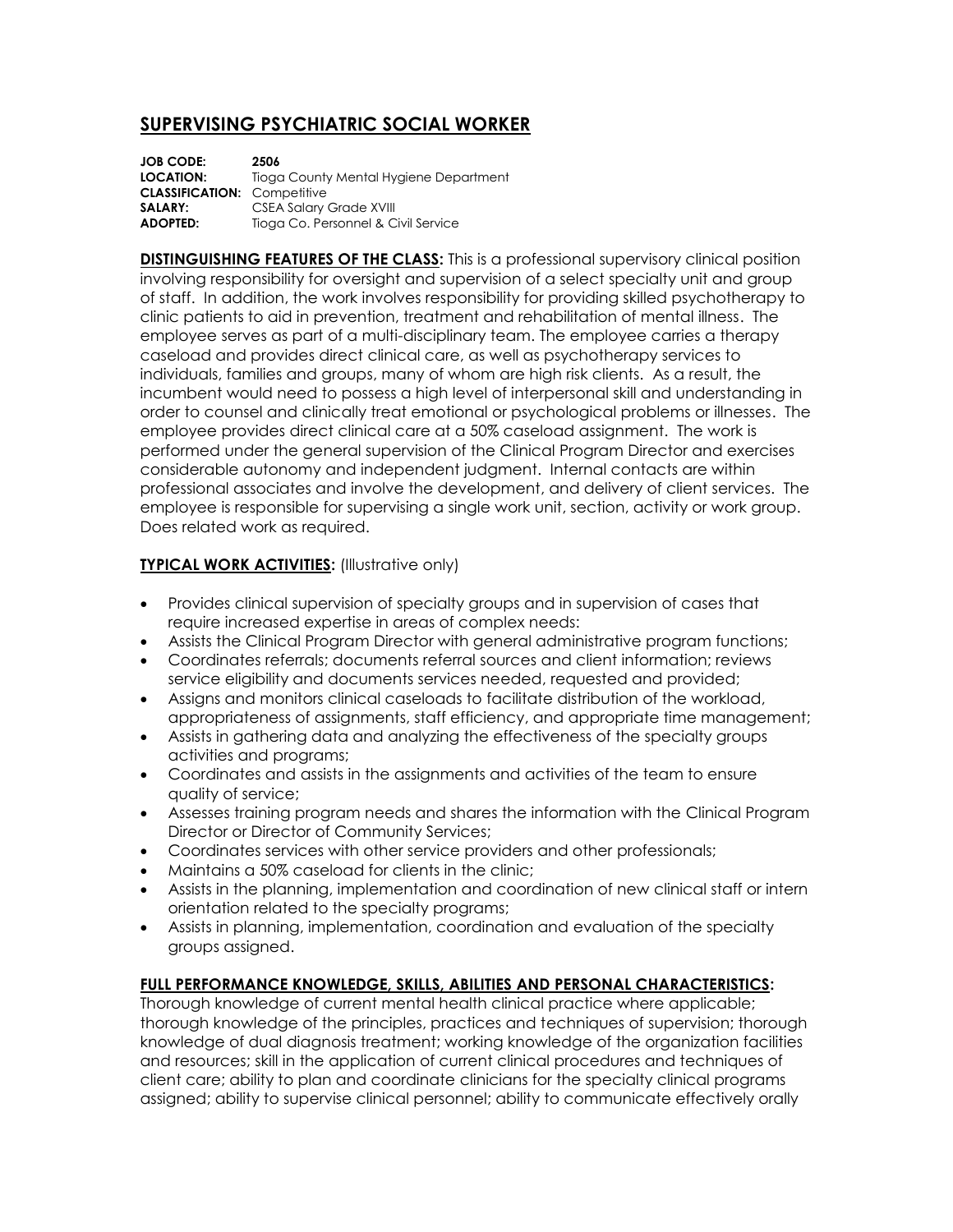## **SUPERVISING PSYCHIATRIC SOCIAL WORKER**

| <b>JOB CODE:</b>                   | 2506                                   |
|------------------------------------|----------------------------------------|
| LOCATION:                          | Tioga County Mental Hygiene Department |
| <b>CLASSIFICATION: Competitive</b> |                                        |
| SALARY:                            | <b>CSEA Salary Grade XVIII</b>         |
| ADOPTED:                           | Tioga Co. Personnel & Civil Service    |

**DISTINGUISHING FEATURES OF THE CLASS:** This is a professional supervisory clinical position involving responsibility for oversight and supervision of a select specialty unit and group of staff. In addition, the work involves responsibility for providing skilled psychotherapy to clinic patients to aid in prevention, treatment and rehabilitation of mental illness. The employee serves as part of a multi-disciplinary team. The employee carries a therapy caseload and provides direct clinical care, as well as psychotherapy services to individuals, families and groups, many of whom are high risk clients. As a result, the incumbent would need to possess a high level of interpersonal skill and understanding in order to counsel and clinically treat emotional or psychological problems or illnesses. The employee provides direct clinical care at a 50% caseload assignment. The work is performed under the general supervision of the Clinical Program Director and exercises considerable autonomy and independent judgment. Internal contacts are within professional associates and involve the development, and delivery of client services. The employee is responsible for supervising a single work unit, section, activity or work group. Does related work as required.

## **TYPICAL WORK ACTIVITIES:** (Illustrative only)

- Provides clinical supervision of specialty groups and in supervision of cases that require increased expertise in areas of complex needs:
- Assists the Clinical Program Director with general administrative program functions;
- Coordinates referrals; documents referral sources and client information; reviews service eligibility and documents services needed, requested and provided;
- Assigns and monitors clinical caseloads to facilitate distribution of the workload, appropriateness of assignments, staff efficiency, and appropriate time management;
- Assists in gathering data and analyzing the effectiveness of the specialty groups activities and programs;
- Coordinates and assists in the assignments and activities of the team to ensure quality of service;
- Assesses training program needs and shares the information with the Clinical Program Director or Director of Community Services;
- Coordinates services with other service providers and other professionals;
- Maintains a 50% caseload for clients in the clinic;
- Assists in the planning, implementation and coordination of new clinical staff or intern orientation related to the specialty programs;
- Assists in planning, implementation, coordination and evaluation of the specialty groups assigned.

## **FULL PERFORMANCE KNOWLEDGE, SKILLS, ABILITIES AND PERSONAL CHARACTERISTICS:**

Thorough knowledge of current mental health clinical practice where applicable; thorough knowledge of the principles, practices and techniques of supervision; thorough knowledge of dual diagnosis treatment; working knowledge of the organization facilities and resources; skill in the application of current clinical procedures and techniques of client care; ability to plan and coordinate clinicians for the specialty clinical programs assigned; ability to supervise clinical personnel; ability to communicate effectively orally